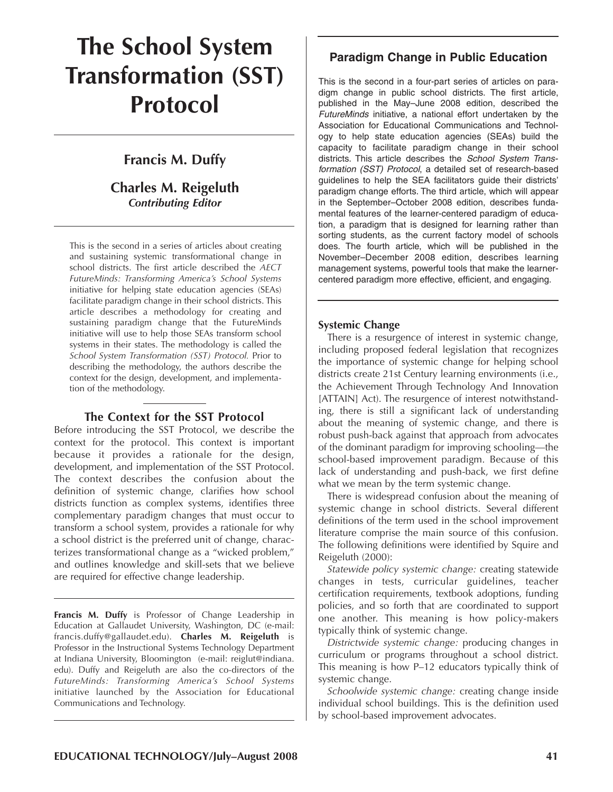## **The School System Transformation (SST) Protocol**

## **Francis M. Duffy**

## **Charles M. Reigeluth** *Contributing Editor*

This is the second in a series of articles about creating and sustaining systemic transformational change in school districts. The first article described the *AECT FutureMinds: Transforming America's School Systems* initiative for helping state education agencies (SEAs) facilitate paradigm change in their school districts. This article describes a methodology for creating and sustaining paradigm change that the FutureMinds initiative will use to help those SEAs transform school systems in their states. The methodology is called the *School System Transformation (SST) Protocol.* Prior to describing the methodology, the authors describe the context for the design, development, and implementation of the methodology.

### **The Context for the SST Protocol**

Before introducing the SST Protocol, we describe the context for the protocol. This context is important because it provides a rationale for the design, development, and implementation of the SST Protocol. The context describes the confusion about the definition of systemic change, clarifies how school districts function as complex systems, identifies three complementary paradigm changes that must occur to transform a school system, provides a rationale for why a school district is the preferred unit of change, characterizes transformational change as a "wicked problem," and outlines knowledge and skill-sets that we believe are required for effective change leadership.

**Francis M. Duffy** is Professor of Change Leadership in Education at Gallaudet University, Washington, DC (e-mail: francis.duffy@gallaudet.edu). **Charles M. Reigeluth** is Professor in the Instructional Systems Technology Department at Indiana University, Bloomington (e-mail: reiglut@indiana. edu). Duffy and Reigeluth are also the co-directors of the *FutureMinds: Transforming America's School Systems* initiative launched by the Association for Educational Communications and Technology.

## **Paradigm Change in Public Education**

This is the second in a four-part series of articles on paradigm change in public school districts. The first article, published in the May–June 2008 edition, described the *FutureMinds* initiative, a national effort undertaken by the Association for Educational Communications and Technology to help state education agencies (SEAs) build the capacity to facilitate paradigm change in their school districts. This article describes the *School System Transformation (SST) Protocol*, a detailed set of research-based guidelines to help the SEA facilitators guide their districts' paradigm change efforts. The third article, which will appear in the September–October 2008 edition, describes fundamental features of the learner-centered paradigm of education, a paradigm that is designed for learning rather than sorting students, as the current factory model of schools does. The fourth article, which will be published in the November–December 2008 edition, describes learning management systems, powerful tools that make the learnercentered paradigm more effective, efficient, and engaging.

### **Systemic Change**

There is a resurgence of interest in systemic change, including proposed federal legislation that recognizes the importance of systemic change for helping school districts create 21st Century learning environments (i.e., the Achievement Through Technology And Innovation [ATTAIN] Act). The resurgence of interest notwithstanding, there is still a significant lack of understanding about the meaning of systemic change, and there is robust push-back against that approach from advocates of the dominant paradigm for improving schooling—the school-based improvement paradigm. Because of this lack of understanding and push-back, we first define what we mean by the term systemic change.

There is widespread confusion about the meaning of systemic change in school districts. Several different definitions of the term used in the school improvement literature comprise the main source of this confusion. The following definitions were identified by Squire and Reigeluth (2000):

*Statewide policy systemic change:* creating statewide changes in tests, curricular guidelines, teacher certification requirements, textbook adoptions, funding policies, and so forth that are coordinated to support one another. This meaning is how policy-makers typically think of systemic change.

*Districtwide systemic change:* producing changes in curriculum or programs throughout a school district. This meaning is how P–12 educators typically think of systemic change.

*Schoolwide systemic change:* creating change inside individual school buildings. This is the definition used by school-based improvement advocates.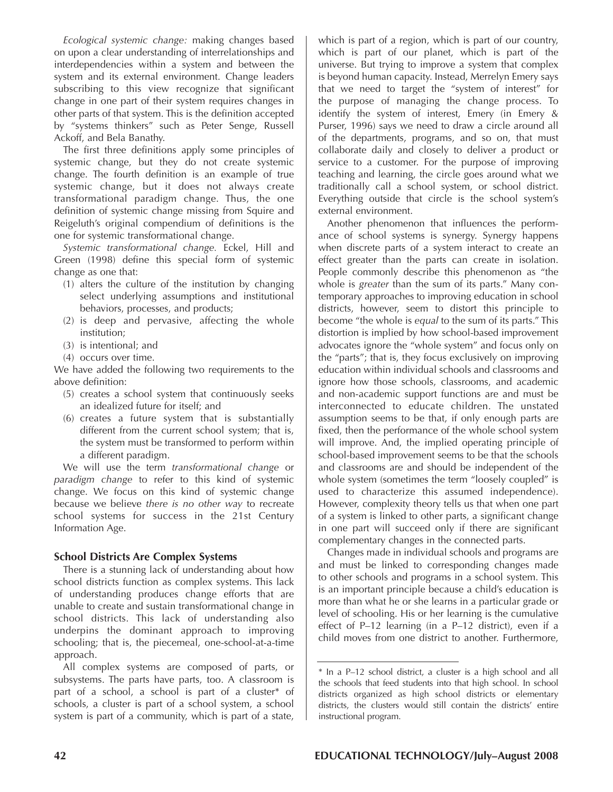*Ecological systemic change:* making changes based on upon a clear understanding of interrelationships and interdependencies within a system and between the system and its external environment. Change leaders subscribing to this view recognize that significant change in one part of their system requires changes in other parts of that system. This is the definition accepted by "systems thinkers" such as Peter Senge, Russell Ackoff, and Bela Banathy.

The first three definitions apply some principles of systemic change, but they do not create systemic change. The fourth definition is an example of true systemic change, but it does not always create transformational paradigm change. Thus, the one definition of systemic change missing from Squire and Reigeluth's original compendium of definitions is the one for systemic transformational change.

*Systemic transformational change.* Eckel, Hill and Green (1998) define this special form of systemic change as one that:

- (1) alters the culture of the institution by changing select underlying assumptions and institutional behaviors, processes, and products;
- (2) is deep and pervasive, affecting the whole institution;
- (3) is intentional; and
- (4) occurs over time.

We have added the following two requirements to the above definition:

- (5) creates a school system that continuously seeks an idealized future for itself; and
- (6) creates a future system that is substantially different from the current school system; that is, the system must be transformed to perform within a different paradigm.

We will use the term *transformational change* or *paradigm change* to refer to this kind of systemic change. We focus on this kind of systemic change because we believe *there is no other way* to recreate school systems for success in the 21st Century Information Age.

#### **School Districts Are Complex Systems**

There is a stunning lack of understanding about how school districts function as complex systems. This lack of understanding produces change efforts that are unable to create and sustain transformational change in school districts. This lack of understanding also underpins the dominant approach to improving schooling; that is, the piecemeal, one-school-at-a-time approach.

All complex systems are composed of parts, or subsystems. The parts have parts, too. A classroom is part of a school, a school is part of a cluster\* of schools, a cluster is part of a school system, a school system is part of a community, which is part of a state,

which is part of a region, which is part of our country, which is part of our planet, which is part of the universe. But trying to improve a system that complex is beyond human capacity. Instead, Merrelyn Emery says that we need to target the "system of interest" for the purpose of managing the change process. To identify the system of interest, Emery (in Emery & Purser, 1996) says we need to draw a circle around all of the departments, programs, and so on, that must collaborate daily and closely to deliver a product or service to a customer. For the purpose of improving teaching and learning, the circle goes around what we traditionally call a school system, or school district. Everything outside that circle is the school system's external environment.

Another phenomenon that influences the performance of school systems is synergy. Synergy happens when discrete parts of a system interact to create an effect greater than the parts can create in isolation. People commonly describe this phenomenon as "the whole is *greater* than the sum of its parts." Many contemporary approaches to improving education in school districts, however, seem to distort this principle to become "the whole is *equal* to the sum of its parts." This distortion is implied by how school-based improvement advocates ignore the "whole system" and focus only on the "parts"; that is, they focus exclusively on improving education within individual schools and classrooms and ignore how those schools, classrooms, and academic and non-academic support functions are and must be interconnected to educate children. The unstated assumption seems to be that, if only enough parts are fixed, then the performance of the whole school system will improve. And, the implied operating principle of school-based improvement seems to be that the schools and classrooms are and should be independent of the whole system (sometimes the term "loosely coupled" is used to characterize this assumed independence). However, complexity theory tells us that when one part of a system is linked to other parts, a significant change in one part will succeed only if there are significant complementary changes in the connected parts.

Changes made in individual schools and programs are and must be linked to corresponding changes made to other schools and programs in a school system. This is an important principle because a child's education is more than what he or she learns in a particular grade or level of schooling. His or her learning is the cumulative effect of P–12 learning (in a P–12 district), even if a child moves from one district to another. Furthermore,

<sup>\*</sup> In a P–12 school district, a cluster is a high school and all the schools that feed students into that high school. In school districts organized as high school districts or elementary districts, the clusters would still contain the districts' entire instructional program.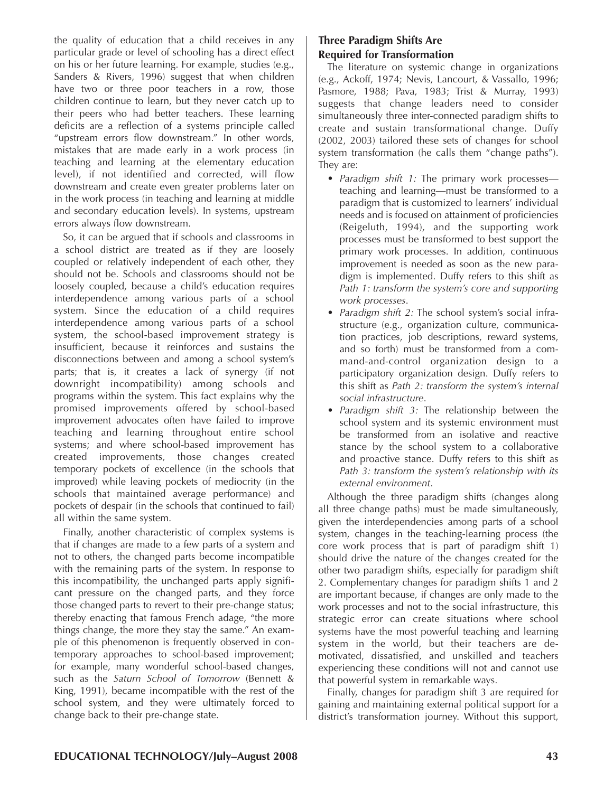the quality of education that a child receives in any particular grade or level of schooling has a direct effect on his or her future learning. For example, studies (e.g., Sanders & Rivers, 1996) suggest that when children have two or three poor teachers in a row, those children continue to learn, but they never catch up to their peers who had better teachers. These learning deficits are a reflection of a systems principle called "upstream errors flow downstream." In other words, mistakes that are made early in a work process (in teaching and learning at the elementary education level), if not identified and corrected, will flow downstream and create even greater problems later on in the work process (in teaching and learning at middle and secondary education levels). In systems, upstream errors always flow downstream.

So, it can be argued that if schools and classrooms in a school district are treated as if they are loosely coupled or relatively independent of each other, they should not be. Schools and classrooms should not be loosely coupled, because a child's education requires interdependence among various parts of a school system. Since the education of a child requires interdependence among various parts of a school system, the school-based improvement strategy is insufficient, because it reinforces and sustains the disconnections between and among a school system's parts; that is, it creates a lack of synergy (if not downright incompatibility) among schools and programs within the system. This fact explains why the promised improvements offered by school-based improvement advocates often have failed to improve teaching and learning throughout entire school systems; and where school-based improvement has created improvements, those changes created temporary pockets of excellence (in the schools that improved) while leaving pockets of mediocrity (in the schools that maintained average performance) and pockets of despair (in the schools that continued to fail) all within the same system.

Finally, another characteristic of complex systems is that if changes are made to a few parts of a system and not to others, the changed parts become incompatible with the remaining parts of the system. In response to this incompatibility, the unchanged parts apply significant pressure on the changed parts, and they force those changed parts to revert to their pre-change status; thereby enacting that famous French adage, "the more things change, the more they stay the same." An example of this phenomenon is frequently observed in contemporary approaches to school-based improvement; for example, many wonderful school-based changes, such as the *Saturn School of Tomorrow* (Bennett & King, 1991), became incompatible with the rest of the school system, and they were ultimately forced to change back to their pre-change state.

## **Three Paradigm Shifts Are Required for Transformation**

The literature on systemic change in organizations (e.g., Ackoff, 1974; Nevis, Lancourt, & Vassallo, 1996; Pasmore, 1988; Pava, 1983; Trist & Murray, 1993) suggests that change leaders need to consider simultaneously three inter-connected paradigm shifts to create and sustain transformational change. Duffy (2002, 2003) tailored these sets of changes for school system transformation (he calls them "change paths"). They are:

- *Paradigm shift 1:* The primary work processes teaching and learning—must be transformed to a paradigm that is customized to learners' individual needs and is focused on attainment of proficiencies (Reigeluth, 1994), and the supporting work processes must be transformed to best support the primary work processes. In addition, continuous improvement is needed as soon as the new paradigm is implemented. Duffy refers to this shift as *Path 1: transform the system's core and supporting work processes*.
- *Paradigm shift 2:* The school system's social infrastructure (e.g., organization culture, communication practices, job descriptions, reward systems, and so forth) must be transformed from a command-and-control organization design to a participatory organization design. Duffy refers to this shift as *Path 2: transform the system's internal social infrastructure*.
- *Paradigm shift 3:* The relationship between the school system and its systemic environment must be transformed from an isolative and reactive stance by the school system to a collaborative and proactive stance. Duffy refers to this shift as *Path 3: transform the system's relationship with its external environment*.

Although the three paradigm shifts (changes along all three change paths) must be made simultaneously, given the interdependencies among parts of a school system, changes in the teaching-learning process (the core work process that is part of paradigm shift 1) should drive the nature of the changes created for the other two paradigm shifts, especially for paradigm shift 2. Complementary changes for paradigm shifts 1 and 2 are important because, if changes are only made to the work processes and not to the social infrastructure, this strategic error can create situations where school systems have the most powerful teaching and learning system in the world, but their teachers are demotivated, dissatisfied, and unskilled and teachers experiencing these conditions will not and cannot use that powerful system in remarkable ways.

Finally, changes for paradigm shift 3 are required for gaining and maintaining external political support for a district's transformation journey. Without this support,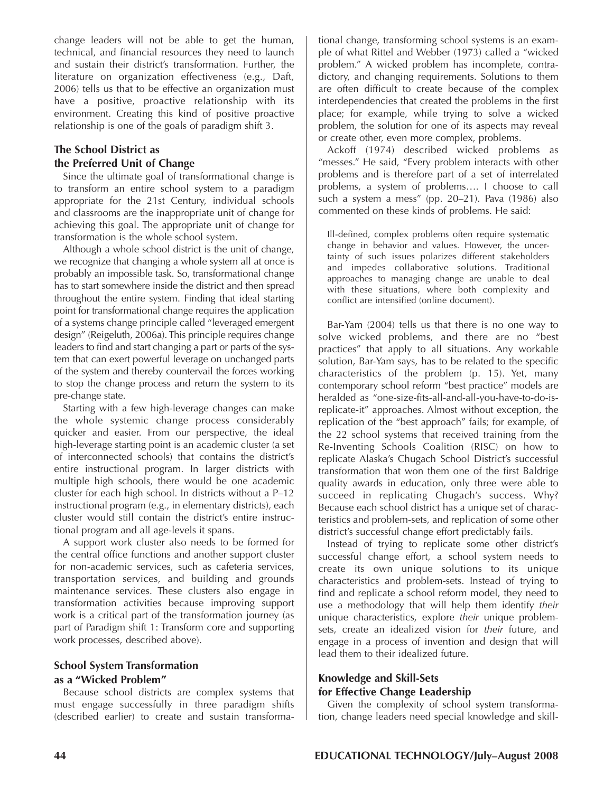change leaders will not be able to get the human, technical, and financial resources they need to launch and sustain their district's transformation. Further, the literature on organization effectiveness (e.g., Daft, 2006) tells us that to be effective an organization must have a positive, proactive relationship with its environment. Creating this kind of positive proactive relationship is one of the goals of paradigm shift 3.

## **The School District as the Preferred Unit of Change**

Since the ultimate goal of transformational change is to transform an entire school system to a paradigm appropriate for the 21st Century, individual schools and classrooms are the inappropriate unit of change for achieving this goal. The appropriate unit of change for transformation is the whole school system.

Although a whole school district is the unit of change, we recognize that changing a whole system all at once is probably an impossible task. So, transformational change has to start somewhere inside the district and then spread throughout the entire system. Finding that ideal starting point for transformational change requires the application of a systems change principle called "leveraged emergent design" (Reigeluth, 2006a). This principle requires change leaders to find and start changing a part or parts of the system that can exert powerful leverage on unchanged parts of the system and thereby countervail the forces working to stop the change process and return the system to its pre-change state.

Starting with a few high-leverage changes can make the whole systemic change process considerably quicker and easier. From our perspective, the ideal high-leverage starting point is an academic cluster (a set of interconnected schools) that contains the district's entire instructional program. In larger districts with multiple high schools, there would be one academic cluster for each high school. In districts without a P–12 instructional program (e.g., in elementary districts), each cluster would still contain the district's entire instructional program and all age-levels it spans.

A support work cluster also needs to be formed for the central office functions and another support cluster for non-academic services, such as cafeteria services, transportation services, and building and grounds maintenance services. These clusters also engage in transformation activities because improving support work is a critical part of the transformation journey (as part of Paradigm shift 1: Transform core and supporting work processes, described above).

## **School System Transformation as a "Wicked Problem"**

Because school districts are complex systems that must engage successfully in three paradigm shifts (described earlier) to create and sustain transforma-

tional change, transforming school systems is an example of what Rittel and Webber (1973) called a "wicked problem." A wicked problem has incomplete, contradictory, and changing requirements. Solutions to them are often difficult to create because of the complex interdependencies that created the problems in the first place; for example, while trying to solve a wicked problem, the solution for one of its aspects may reveal or create other, even more complex, problems.

Ackoff (1974) described wicked problems as "messes." He said, "Every problem interacts with other problems and is therefore part of a set of interrelated problems, a system of problems…. I choose to call such a system a mess" (pp. 20–21). Pava (1986) also commented on these kinds of problems. He said:

Ill-defined, complex problems often require systematic change in behavior and values. However, the uncertainty of such issues polarizes different stakeholders and impedes collaborative solutions. Traditional approaches to managing change are unable to deal with these situations, where both complexity and conflict are intensified (online document).

Bar-Yam (2004) tells us that there is no one way to solve wicked problems, and there are no "best practices" that apply to all situations. Any workable solution, Bar-Yam says, has to be related to the specific characteristics of the problem (p. 15). Yet, many contemporary school reform "best practice" models are heralded as "one-size-fits-all-and-all-you-have-to-do-isreplicate-it" approaches. Almost without exception, the replication of the "best approach" fails; for example, of the 22 school systems that received training from the Re-Inventing Schools Coalition (RISC) on how to replicate Alaska's Chugach School District's successful transformation that won them one of the first Baldrige quality awards in education, only three were able to succeed in replicating Chugach's success. Why? Because each school district has a unique set of characteristics and problem-sets, and replication of some other district's successful change effort predictably fails.

Instead of trying to replicate some other district's successful change effort, a school system needs to create its own unique solutions to its unique characteristics and problem-sets. Instead of trying to find and replicate a school reform model, they need to use a methodology that will help them identify *their* unique characteristics, explore *their* unique problemsets, create an idealized vision for *their* future, and engage in a process of invention and design that will lead them to their idealized future.

### **Knowledge and Skill-Sets for Effective Change Leadership**

Given the complexity of school system transformation, change leaders need special knowledge and skill-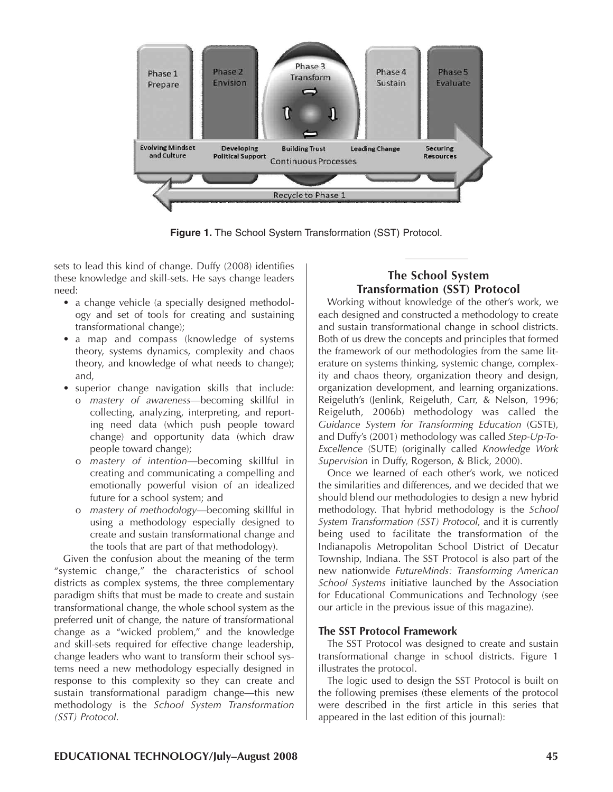

**Figure 1.** The School System Transformation (SST) Protocol.

sets to lead this kind of change. Duffy (2008) identifies these knowledge and skill-sets. He says change leaders need:

- a change vehicle (a specially designed methodology and set of tools for creating and sustaining transformational change);
- a map and compass (knowledge of systems theory, systems dynamics, complexity and chaos theory, and knowledge of what needs to change); and,
- superior change navigation skills that include:
	- o *mastery of awareness*—becoming skillful in collecting, analyzing, interpreting, and reporting need data (which push people toward change) and opportunity data (which draw people toward change);
	- o *mastery of intention*—becoming skillful in creating and communicating a compelling and emotionally powerful vision of an idealized future for a school system; and
	- o *mastery of methodology*—becoming skillful in using a methodology especially designed to create and sustain transformational change and the tools that are part of that methodology).

Given the confusion about the meaning of the term "systemic change," the characteristics of school districts as complex systems, the three complementary paradigm shifts that must be made to create and sustain transformational change, the whole school system as the preferred unit of change, the nature of transformational change as a "wicked problem," and the knowledge and skill-sets required for effective change leadership, change leaders who want to transform their school systems need a new methodology especially designed in response to this complexity so they can create and sustain transformational paradigm change—this new methodology is the *School System Transformation (SST) Protocol*.

## **The School System Transformation (SST) Protocol**

Working without knowledge of the other's work, we each designed and constructed a methodology to create and sustain transformational change in school districts. Both of us drew the concepts and principles that formed the framework of our methodologies from the same literature on systems thinking, systemic change, complexity and chaos theory, organization theory and design, organization development, and learning organizations. Reigeluth's (Jenlink, Reigeluth, Carr, & Nelson, 1996; Reigeluth, 2006b) methodology was called the *Guidance System for Transforming Education* (GSTE), and Duffy's (2001) methodology was called *Step-Up-To-Excellence* (SUTE) (originally called *Knowledge Work Supervision* in Duffy, Rogerson, & Blick, 2000).

Once we learned of each other's work, we noticed the similarities and differences, and we decided that we should blend our methodologies to design a new hybrid methodology. That hybrid methodology is the *School System Transformation (SST) Protocol*, and it is currently being used to facilitate the transformation of the Indianapolis Metropolitan School District of Decatur Township, Indiana. The SST Protocol is also part of the new nationwide *FutureMinds: Transforming American School Systems* initiative launched by the Association for Educational Communications and Technology (see our article in the previous issue of this magazine).

#### **The SST Protocol Framework**

The SST Protocol was designed to create and sustain transformational change in school districts. Figure 1 illustrates the protocol.

The logic used to design the SST Protocol is built on the following premises (these elements of the protocol were described in the first article in this series that appeared in the last edition of this journal):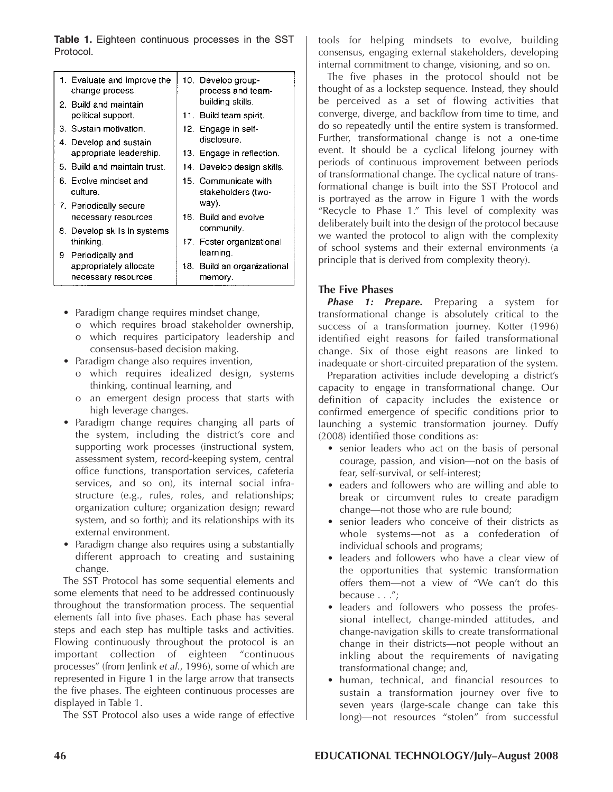**Table 1.** Eighteen continuous processes in the SST Protocol.

|    | 1. Evaluate and improve the<br>change process. | 10. Develop group-<br>process and team-    |
|----|------------------------------------------------|--------------------------------------------|
|    | 2. Build and maintain<br>political support.    | building skills.<br>11. Build team spirit. |
|    | 3. Sustain motivation.                         | 12. Engage in self-                        |
|    | 4. Develop and sustain                         | disclosure.                                |
|    | appropriate leadership.                        | 13. Engage in reflection.                  |
|    | 5. Build and maintain trust.                   | 14.  Develop design skills.                |
|    | 6. Evolve mindset and<br>culture.              | 15. Communicate with<br>stakeholders (two- |
|    | 7. Periodically secure                         | way).                                      |
|    | necessary resources.                           | 16. Build and evolve                       |
|    | 8. Develop skills in systems                   | community.                                 |
|    | thinking.                                      | 17. Foster organizational                  |
| 9. | Periodically and                               | learning.                                  |
|    | appropriately allocate                         | 18. Build an organizational                |
|    | necessary resources.                           | memory.                                    |
|    |                                                |                                            |

- Paradigm change requires mindset change,
	- o which requires broad stakeholder ownership,
	- o which requires participatory leadership and consensus-based decision making.
- Paradigm change also requires invention,
	- o which requires idealized design, systems thinking, continual learning, and
	- o an emergent design process that starts with high leverage changes.
- Paradigm change requires changing all parts of the system, including the district's core and supporting work processes (instructional system, assessment system, record-keeping system, central office functions, transportation services, cafeteria services, and so on), its internal social infrastructure (e.g., rules, roles, and relationships; organization culture; organization design; reward system, and so forth); and its relationships with its external environment.
- Paradigm change also requires using a substantially different approach to creating and sustaining change.

The SST Protocol has some sequential elements and some elements that need to be addressed continuously throughout the transformation process. The sequential elements fall into five phases. Each phase has several steps and each step has multiple tasks and activities. Flowing continuously throughout the protocol is an important collection of eighteen "continuous processes" (from Jenlink *et al*., 1996), some of which are represented in Figure 1 in the large arrow that transects the five phases. The eighteen continuous processes are displayed in Table 1.

The SST Protocol also uses a wide range of effective

tools for helping mindsets to evolve, building consensus, engaging external stakeholders, developing internal commitment to change, visioning, and so on.

The five phases in the protocol should not be thought of as a lockstep sequence. Instead, they should be perceived as a set of flowing activities that converge, diverge, and backflow from time to time, and do so repeatedly until the entire system is transformed. Further, transformational change is not a one-time event. It should be a cyclical lifelong journey with periods of continuous improvement between periods of transformational change. The cyclical nature of transformational change is built into the SST Protocol and is portrayed as the arrow in Figure 1 with the words "Recycle to Phase 1." This level of complexity was deliberately built into the design of the protocol because we wanted the protocol to align with the complexity of school systems and their external environments (a principle that is derived from complexity theory).

#### **The Five Phases**

*Phase 1: Prepare.* Preparing a system for transformational change is absolutely critical to the success of a transformation journey. Kotter (1996) identified eight reasons for failed transformational change. Six of those eight reasons are linked to inadequate or short-circuited preparation of the system.

Preparation activities include developing a district's capacity to engage in transformational change. Our definition of capacity includes the existence or confirmed emergence of specific conditions prior to launching a systemic transformation journey. Duffy (2008) identified those conditions as:

- senior leaders who act on the basis of personal courage, passion, and vision—not on the basis of fear, self-survival, or self-interest;
- eaders and followers who are willing and able to break or circumvent rules to create paradigm change—not those who are rule bound;
- senior leaders who conceive of their districts as whole systems—not as a confederation of individual schools and programs;
- leaders and followers who have a clear view of the opportunities that systemic transformation offers them—not a view of "We can't do this because . . .";
- leaders and followers who possess the professional intellect, change-minded attitudes, and change-navigation skills to create transformational change in their districts—not people without an inkling about the requirements of navigating transformational change; and,
- human, technical, and financial resources to sustain a transformation journey over five to seven years (large-scale change can take this long)—not resources "stolen" from successful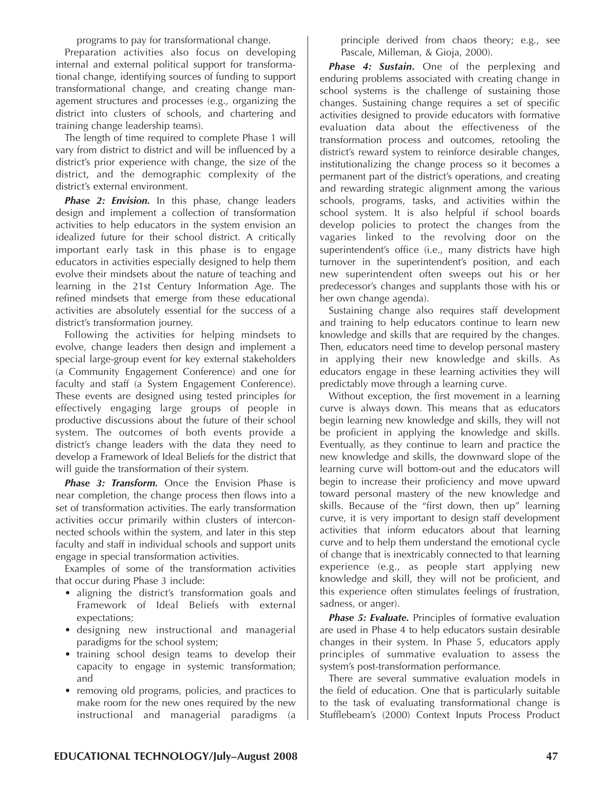programs to pay for transformational change.

Preparation activities also focus on developing internal and external political support for transformational change, identifying sources of funding to support transformational change, and creating change management structures and processes (e.g., organizing the district into clusters of schools, and chartering and training change leadership teams).

The length of time required to complete Phase 1 will vary from district to district and will be influenced by a district's prior experience with change, the size of the district, and the demographic complexity of the district's external environment.

*Phase 2: Envision.* In this phase, change leaders design and implement a collection of transformation activities to help educators in the system envision an idealized future for their school district. A critically important early task in this phase is to engage educators in activities especially designed to help them evolve their mindsets about the nature of teaching and learning in the 21st Century Information Age. The refined mindsets that emerge from these educational activities are absolutely essential for the success of a district's transformation journey.

Following the activities for helping mindsets to evolve, change leaders then design and implement a special large-group event for key external stakeholders (a Community Engagement Conference) and one for faculty and staff (a System Engagement Conference). These events are designed using tested principles for effectively engaging large groups of people in productive discussions about the future of their school system. The outcomes of both events provide a district's change leaders with the data they need to develop a Framework of Ideal Beliefs for the district that will guide the transformation of their system.

*Phase 3: Transform.* Once the Envision Phase is near completion, the change process then flows into a set of transformation activities. The early transformation activities occur primarily within clusters of interconnected schools within the system, and later in this step faculty and staff in individual schools and support units engage in special transformation activities.

Examples of some of the transformation activities that occur during Phase 3 include:

- aligning the district's transformation goals and Framework of Ideal Beliefs with external expectations;
- designing new instructional and managerial paradigms for the school system;
- training school design teams to develop their capacity to engage in systemic transformation; and
- removing old programs, policies, and practices to make room for the new ones required by the new instructional and managerial paradigms (a

principle derived from chaos theory; e.g., see Pascale, Milleman, & Gioja, 2000).

*Phase 4: Sustain.* One of the perplexing and enduring problems associated with creating change in school systems is the challenge of sustaining those changes. Sustaining change requires a set of specific activities designed to provide educators with formative evaluation data about the effectiveness of the transformation process and outcomes, retooling the district's reward system to reinforce desirable changes, institutionalizing the change process so it becomes a permanent part of the district's operations, and creating and rewarding strategic alignment among the various schools, programs, tasks, and activities within the school system. It is also helpful if school boards develop policies to protect the changes from the vagaries linked to the revolving door on the superintendent's office (i.e., many districts have high turnover in the superintendent's position, and each new superintendent often sweeps out his or her predecessor's changes and supplants those with his or her own change agenda).

Sustaining change also requires staff development and training to help educators continue to learn new knowledge and skills that are required by the changes. Then, educators need time to develop personal mastery in applying their new knowledge and skills. As educators engage in these learning activities they will predictably move through a learning curve.

Without exception, the first movement in a learning curve is always down. This means that as educators begin learning new knowledge and skills, they will not be proficient in applying the knowledge and skills. Eventually, as they continue to learn and practice the new knowledge and skills, the downward slope of the learning curve will bottom-out and the educators will begin to increase their proficiency and move upward toward personal mastery of the new knowledge and skills. Because of the "first down, then up" learning curve, it is very important to design staff development activities that inform educators about that learning curve and to help them understand the emotional cycle of change that is inextricably connected to that learning experience (e.g., as people start applying new knowledge and skill, they will not be proficient, and this experience often stimulates feelings of frustration, sadness, or anger).

*Phase 5: Evaluate.* Principles of formative evaluation are used in Phase 4 to help educators sustain desirable changes in their system. In Phase 5, educators apply principles of summative evaluation to assess the system's post-transformation performance.

There are several summative evaluation models in the field of education. One that is particularly suitable to the task of evaluating transformational change is Stufflebeam's (2000) Context Inputs Process Product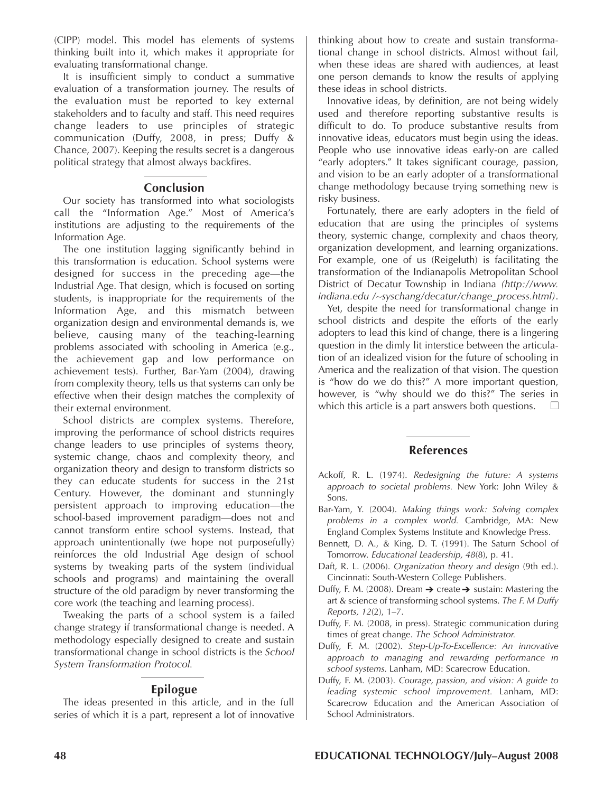(CIPP) model. This model has elements of systems thinking built into it, which makes it appropriate for evaluating transformational change.

It is insufficient simply to conduct a summative evaluation of a transformation journey. The results of the evaluation must be reported to key external stakeholders and to faculty and staff. This need requires change leaders to use principles of strategic communication (Duffy, 2008, in press; Duffy & Chance, 2007). Keeping the results secret is a dangerous political strategy that almost always backfires.

### **Conclusion**

Our society has transformed into what sociologists call the "Information Age." Most of America's institutions are adjusting to the requirements of the Information Age.

The one institution lagging significantly behind in this transformation is education. School systems were designed for success in the preceding age—the Industrial Age. That design, which is focused on sorting students, is inappropriate for the requirements of the Information Age, and this mismatch between organization design and environmental demands is, we believe, causing many of the teaching-learning problems associated with schooling in America (e.g., the achievement gap and low performance on achievement tests). Further, Bar-Yam (2004), drawing from complexity theory, tells us that systems can only be effective when their design matches the complexity of their external environment.

School districts are complex systems. Therefore, improving the performance of school districts requires change leaders to use principles of systems theory, systemic change, chaos and complexity theory, and organization theory and design to transform districts so they can educate students for success in the 21st Century. However, the dominant and stunningly persistent approach to improving education—the school-based improvement paradigm—does not and cannot transform entire school systems. Instead, that approach unintentionally (we hope not purposefully) reinforces the old Industrial Age design of school systems by tweaking parts of the system (individual schools and programs) and maintaining the overall structure of the old paradigm by never transforming the core work (the teaching and learning process).

Tweaking the parts of a school system is a failed change strategy if transformational change is needed. A methodology especially designed to create and sustain transformational change in school districts is the *School System Transformation Protocol.*

#### **Epilogue**

The ideas presented in this article, and in the full series of which it is a part, represent a lot of innovative thinking about how to create and sustain transformational change in school districts. Almost without fail, when these ideas are shared with audiences, at least one person demands to know the results of applying these ideas in school districts.

Innovative ideas, by definition, are not being widely used and therefore reporting substantive results is difficult to do. To produce substantive results from innovative ideas, educators must begin using the ideas. People who use innovative ideas early-on are called "early adopters." It takes significant courage, passion, and vision to be an early adopter of a transformational change methodology because trying something new is risky business.

Fortunately, there are early adopters in the field of education that are using the principles of systems theory, systemic change, complexity and chaos theory, organization development, and learning organizations. For example, one of us (Reigeluth) is facilitating the transformation of the Indianapolis Metropolitan School District of Decatur Township in Indiana *(http://www. indiana.edu /~syschang/decatur/change\_process.html)*.

Yet, despite the need for transformational change in school districts and despite the efforts of the early adopters to lead this kind of change, there is a lingering question in the dimly lit interstice between the articulation of an idealized vision for the future of schooling in America and the realization of that vision. The question is "how do we do this?" A more important question, however, is "why should we do this?" The series in which this article is a part answers both questions.  $\Box$ 

#### **References**

- Ackoff, R. L. (1974). *Redesigning the future: A systems approach to societal problems.* New York: John Wiley & Sons.
- Bar-Yam, Y. (2004). *Making things work: Solving complex problems in a complex world.* Cambridge, MA: New England Complex Systems Institute and Knowledge Press.
- Bennett, D. A., & King, D. T. (1991). The Saturn School of Tomorrow. *Educational Leadership, 48*(8), p. 41.
- Daft, R. L. (2006). *Organization theory and design* (9th ed.). Cincinnati: South-Western College Publishers.
- Duffy, F. M. (2008). Dream  $\rightarrow$  create  $\rightarrow$  sustain: Mastering the art & science of transforming school systems. *The F. M Duffy Reports, 12*(2), 1–7.
- Duffy, F. M. (2008, in press). Strategic communication during times of great change. *The School Administrator.*
- Duffy, F. M. (2002). *Step-Up-To-Excellence: An innovative approach to managing and rewarding performance in school systems.* Lanham, MD: Scarecrow Education.
- Duffy, F. M. (2003). *Courage, passion, and vision: A guide to leading systemic school improvement.* Lanham, MD: Scarecrow Education and the American Association of School Administrators.